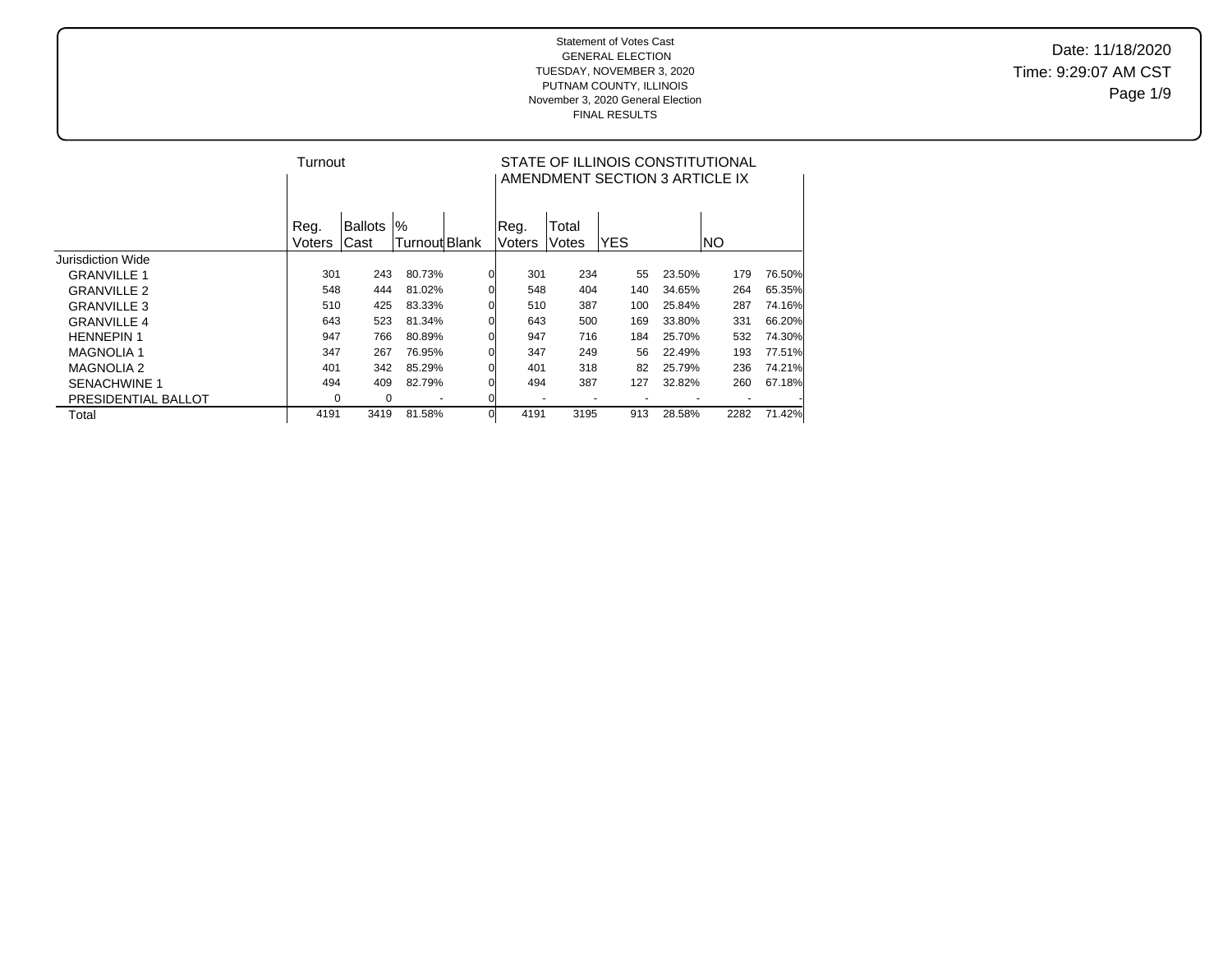Date: 11/18/2020 Time: 9:29:07 AM CST Page 1/9

|                     | Turnout |         |               |          | STATE OF ILLINOIS CONSTITUTIONAL<br>AMENDMENT SECTION 3 ARTICLE IX |       |            |        |           |        |  |  |  |  |
|---------------------|---------|---------|---------------|----------|--------------------------------------------------------------------|-------|------------|--------|-----------|--------|--|--|--|--|
|                     | Reg.    | Ballots | $\%$          |          | Req.                                                               | Total |            |        |           |        |  |  |  |  |
|                     | Voters  | Cast    | Turnout Blank |          | Voters                                                             | Votes | <b>YES</b> |        | <b>NO</b> |        |  |  |  |  |
| Jurisdiction Wide   |         |         |               |          |                                                                    |       |            |        |           |        |  |  |  |  |
| <b>GRANVILLE 1</b>  | 301     | 243     | 80.73%        |          | 301                                                                | 234   | 55         | 23.50% | 179       | 76.50% |  |  |  |  |
| <b>GRANVILLE 2</b>  | 548     | 444     | 81.02%        |          | 548                                                                | 404   | 140        | 34.65% | 264       | 65.35% |  |  |  |  |
| <b>GRANVILLE 3</b>  | 510     | 425     | 83.33%        |          | 510                                                                | 387   | 100        | 25.84% | 287       | 74.16% |  |  |  |  |
| <b>GRANVILLE 4</b>  | 643     | 523     | 81.34%        |          | 643                                                                | 500   | 169        | 33.80% | 331       | 66.20% |  |  |  |  |
| <b>HENNEPIN 1</b>   | 947     | 766     | 80.89%        |          | 947                                                                | 716   | 184        | 25.70% | 532       | 74.30% |  |  |  |  |
| <b>MAGNOLIA 1</b>   | 347     | 267     | 76.95%        |          | 347                                                                | 249   | 56         | 22.49% | 193       | 77.51% |  |  |  |  |
| <b>MAGNOLIA 2</b>   | 401     | 342     | 85.29%        |          | 401                                                                | 318   | 82         | 25.79% | 236       | 74.21% |  |  |  |  |
| <b>SENACHWINE 1</b> | 494     | 409     | 82.79%        |          | 494                                                                | 387   | 127        | 32.82% | 260       | 67.18% |  |  |  |  |
| PRESIDENTIAL BALLOT | 0       | 0       |               |          |                                                                    |       |            |        |           |        |  |  |  |  |
| Total               | 4191    | 3419    | 81.58%        | $\Omega$ | 4191                                                               | 3195  | 913        | 28.58% | 2282      | 71.42% |  |  |  |  |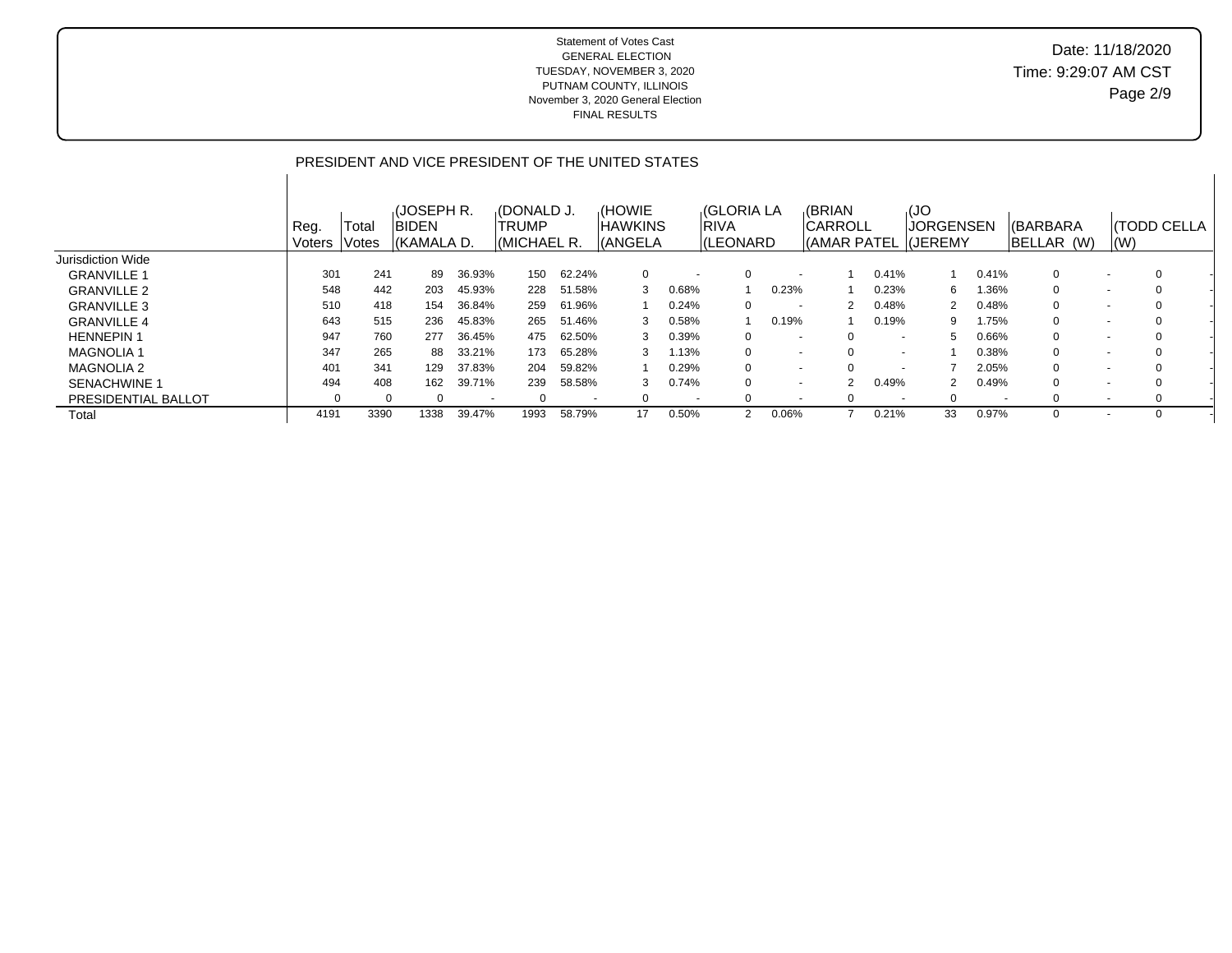## Date: 11/18/2020 Time: 9:29:07 AM CST Page 2/9

### PRESIDENT AND VICE PRESIDENT OF THE UNITED STATES

|                     | Reg.<br>Voters | Total<br>Votes | (JOSEPH R.<br><b>BIDEN</b><br>KKAMALA D. |                          | <b>IOONALD J.</b><br>TRUMP<br> (MICHAEL R. |        | (HOWIE<br>IHAWKINS<br>(ANGELA |                          | <b>(GLORIA LA</b><br><b>RIVA</b><br>(LEONARD |                          | <b>(BRIAN</b><br>ICARROLL |                          | ,(JO<br><b>JORGENSEN</b><br>(AMAR PATEL (JEREMY |                          | I(BARBARA<br>BELLAR (W) | (W)    | <b>(TODD CELLA</b> |  |
|---------------------|----------------|----------------|------------------------------------------|--------------------------|--------------------------------------------|--------|-------------------------------|--------------------------|----------------------------------------------|--------------------------|---------------------------|--------------------------|-------------------------------------------------|--------------------------|-------------------------|--------|--------------------|--|
| Jurisdiction Wide   |                |                |                                          |                          |                                            |        |                               |                          |                                              |                          |                           |                          |                                                 |                          |                         |        |                    |  |
| <b>GRANVILLE 1</b>  | 301            | 241            | 89                                       | 36.93%                   | 150                                        | 62.24% | 0                             | $\overline{\phantom{a}}$ |                                              | $\overline{\phantom{a}}$ |                           | 0.41%                    |                                                 | 0.41%                    | $\mathbf{0}$            |        | $\Omega$           |  |
| <b>GRANVILLE 2</b>  | 548            | 442            | 203                                      | 45.93%                   | 228                                        | 51.58% | 3                             | 0.68%                    |                                              | 0.23%                    |                           | 0.23%                    | 6                                               | 1.36%                    | $\mathbf{0}$            |        |                    |  |
| <b>GRANVILLE 3</b>  | 510            | 418            | 154                                      | 36.84%                   | 259                                        | 61.96% |                               | 0.24%                    | $\Omega$                                     | $\overline{\phantom{0}}$ |                           | 0.48%                    | 2                                               | 0.48%                    | $\mathbf{0}$            | $\sim$ | $\Omega$           |  |
| <b>GRANVILLE 4</b>  | 643            | 515            | 236                                      | 45.83%                   | 265                                        | 51.46% | 3                             | $0.58\%$                 |                                              | 0.19%                    |                           | 0.19%                    | 9                                               | 1.75%                    | $\mathbf{0}$            |        |                    |  |
| <b>HENNEPIN1</b>    | 947            | 760            | 277                                      | 36.45%                   | 475                                        | 62.50% | 3                             | 0.39%                    | $\Omega$                                     | $\overline{\phantom{a}}$ |                           | $\overline{\phantom{a}}$ | 5                                               | 0.66%                    | $\overline{0}$          |        | $\Omega$           |  |
| <b>MAGNOLIA 1</b>   | 347            | 265            | 88                                       | 33.21%                   | 173                                        | 65.28% | 3                             | 1.13%                    | 0                                            | $\overline{\phantom{0}}$ |                           | $\overline{\phantom{a}}$ |                                                 | 0.38%                    | $\Omega$                |        |                    |  |
| <b>MAGNOLIA 2</b>   | 401            | 341            | 129                                      | 37.83%                   | 204                                        | 59.82% |                               | 0.29%                    | 0                                            | $\overline{\phantom{0}}$ |                           |                          |                                                 | 2.05%                    | $\Omega$                |        | $\Omega$           |  |
| <b>SENACHWINE 1</b> | 494            | 408            | 162                                      | 39.71%                   | 239                                        | 58.58% | 3                             | 0.74%                    | 0                                            | $\overline{\phantom{0}}$ | 2                         | 0.49%                    |                                                 | 0.49%                    | $\Omega$                |        |                    |  |
| PRESIDENTIAL BALLOT |                |                | $\Omega$                                 | $\overline{\phantom{a}}$ | $\Omega$                                   |        | $\Omega$                      | $\overline{\phantom{a}}$ |                                              | $\overline{\phantom{a}}$ |                           |                          | $\Omega$                                        | $\overline{\phantom{a}}$ | $\Omega$                | $\sim$ | $\Omega$           |  |
| Total               | 4191           | 3390           | 1338                                     | 39.47%                   | 1993                                       | 58.79% |                               | $0.50\%$                 |                                              | 0.06%                    |                           | 0.21%                    | 33                                              | 0.97%                    | 0                       |        |                    |  |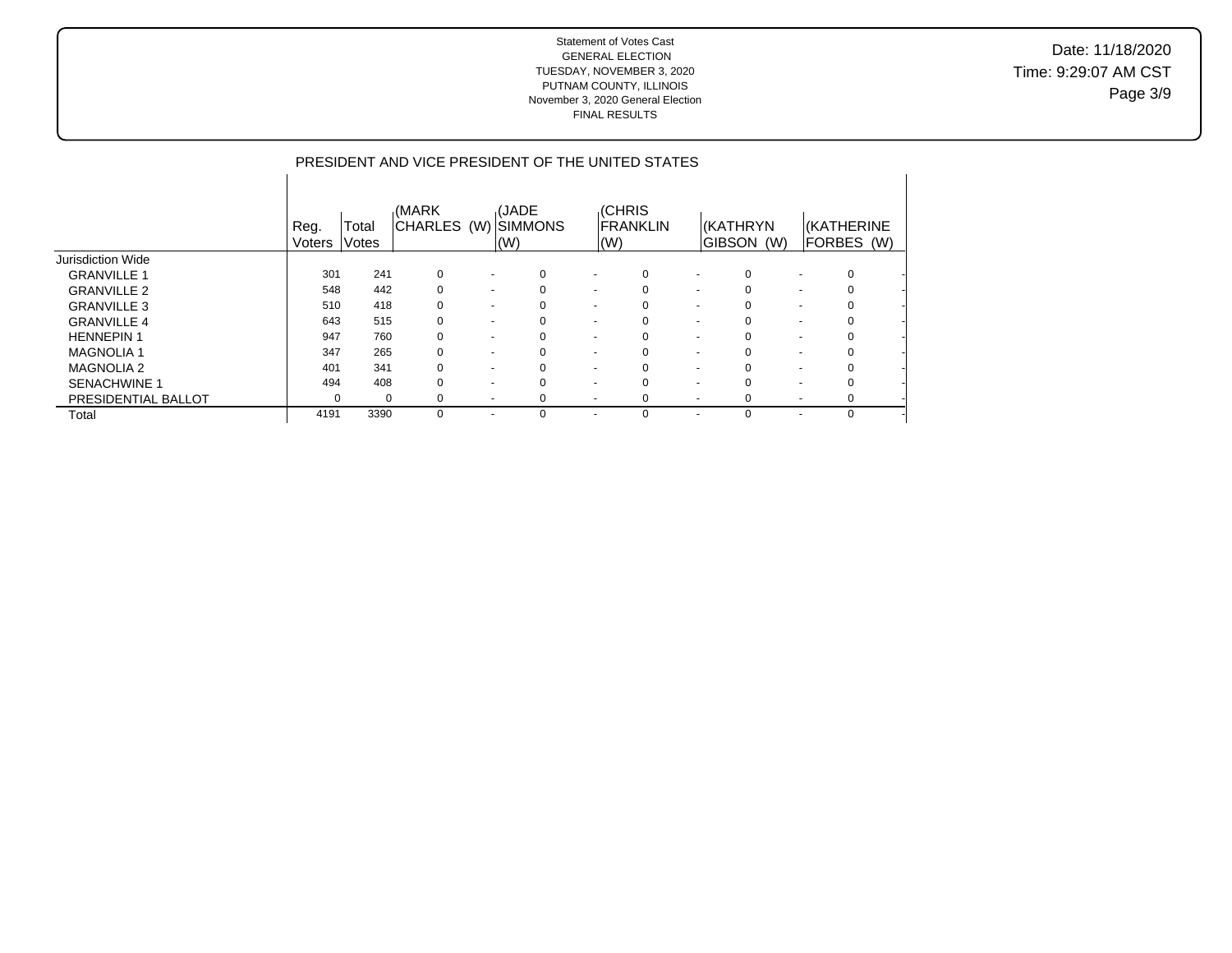Date: 11/18/2020 Time: 9:29:07 AM CST Page 3/9

### PRESIDENT AND VICE PRESIDENT OF THE UNITED STATES

|                          | Reg.<br>Voters | Total<br>Votes | (MARK<br><b>CHARLES</b> | (W)                      | <b>(JADE</b><br><b>ISIMMONS</b><br>$\mathsf{I}(\mathsf{W})$ |          | $\mathsf{I}(\mathsf{W})$ | <b>CHRIS</b><br><b>FRANKLIN</b> |                          | KKATHRYN<br><b>GIBSON</b><br>(W) |                          | <b><i>(KATHERINE</i></b><br>FORBES (W) |
|--------------------------|----------------|----------------|-------------------------|--------------------------|-------------------------------------------------------------|----------|--------------------------|---------------------------------|--------------------------|----------------------------------|--------------------------|----------------------------------------|
| <b>Jurisdiction Wide</b> |                |                |                         |                          |                                                             |          |                          |                                 |                          |                                  |                          |                                        |
| <b>GRANVILLE 1</b>       | 301            | 241            | 0                       |                          | $\sim$                                                      | 0        | $\overline{\phantom{a}}$ | 0                               | $\overline{\phantom{a}}$ | $\Omega$                         | $\blacksquare$           | 0                                      |
| <b>GRANVILLE 2</b>       | 548            | 442            | 0                       | $\overline{\phantom{a}}$ |                                                             | 0        | $\overline{\phantom{a}}$ |                                 | $\blacksquare$           | $\Omega$                         | $\overline{\phantom{0}}$ | 0                                      |
| <b>GRANVILLE 3</b>       | 510            | 418            | 0                       | $\overline{\phantom{a}}$ |                                                             | 0        | $\overline{\phantom{a}}$ |                                 | $\overline{\phantom{a}}$ | 0                                | $\overline{\phantom{0}}$ | $\Omega$                               |
| <b>GRANVILLE 4</b>       | 643            | 515            | $\Omega$                | $\overline{\phantom{a}}$ |                                                             | 0        | $\overline{\phantom{a}}$ | 0                               | $\overline{\phantom{a}}$ |                                  | $\overline{\phantom{0}}$ | 0                                      |
| <b>HENNEPIN1</b>         | 947            | 760            | 0                       | $\overline{\phantom{a}}$ |                                                             | 0        | $\overline{\phantom{a}}$ |                                 | $\overline{\phantom{a}}$ | $\Omega$                         | $\overline{\phantom{0}}$ | $\Omega$                               |
| <b>MAGNOLIA1</b>         | 347            | 265            | 0                       | $\overline{\phantom{a}}$ |                                                             | 0        | $\overline{\phantom{a}}$ | 0                               | $\overline{\phantom{a}}$ | 0                                | $\overline{\phantom{0}}$ | 0                                      |
| <b>MAGNOLIA 2</b>        | 401            | 341            | $\Omega$                | $\overline{\phantom{a}}$ |                                                             | $\Omega$ | $\overline{\phantom{a}}$ | $\Omega$                        | $\overline{\phantom{a}}$ | $\Omega$                         | $\overline{\phantom{0}}$ | $\Omega$                               |
| <b>SENACHWINE 1</b>      | 494            | 408            |                         | $\overline{\phantom{a}}$ |                                                             | 0        | $\overline{\phantom{a}}$ |                                 | $\overline{\phantom{0}}$ | $\Omega$                         | $\overline{\phantom{0}}$ | 0                                      |
| PRESIDENTIAL BALLOT      | $\Omega$       | $\Omega$       | 0                       | $\overline{\phantom{a}}$ |                                                             | 0        | $\overline{\phantom{a}}$ | 0                               | $\overline{\phantom{a}}$ | $\Omega$                         | $\overline{\phantom{0}}$ | 0                                      |
| Total                    | 4191           | 3390           | $\Omega$                | ٠                        |                                                             | 0        |                          | $\Omega$                        |                          |                                  |                          | $\Omega$                               |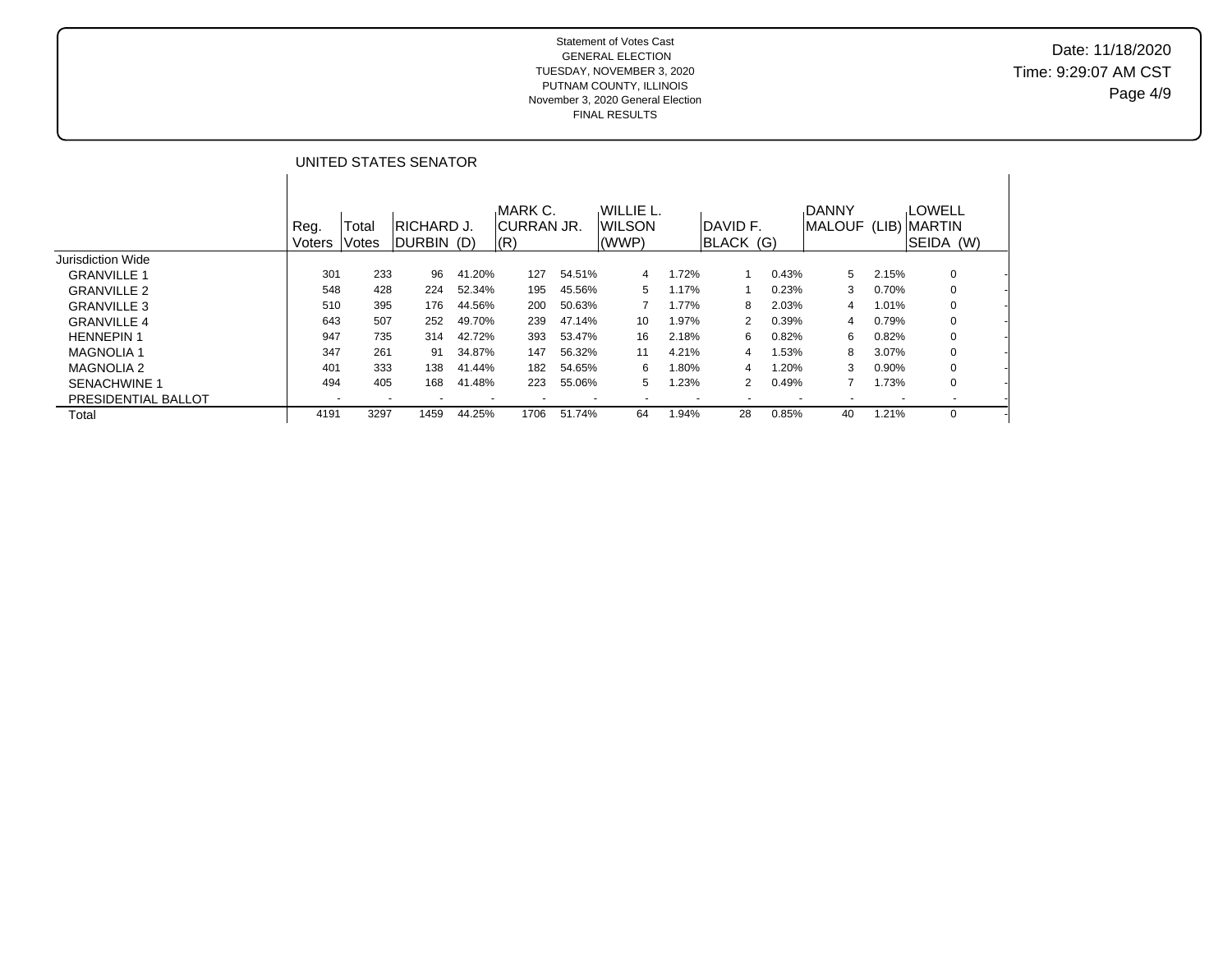## Date: 11/18/2020 Time: 9:29:07 AM CST Page 4/9

|                     |                          |                          | UNITED STATES SENATOR      |                          |                               |        |                               |                          |                        |       |                                |       |                                     |  |
|---------------------|--------------------------|--------------------------|----------------------------|--------------------------|-------------------------------|--------|-------------------------------|--------------------------|------------------------|-------|--------------------------------|-------|-------------------------------------|--|
|                     | Reg.<br><b>Voters</b>    | Total<br>Votes           | IRICHARD J.<br> DURBIN (D) |                          | MARK C.<br>ICURRAN JR.<br>(R) |        | WILLIE L.<br>IWILSON<br>(WWP) |                          | IDAVID F.<br>BLACK (G) |       | <b>DANNY</b><br><b>IMALOUF</b> |       | LOWELL<br>(LIB) MARTIN<br>SEIDA (W) |  |
| Jurisdiction Wide   |                          |                          |                            |                          |                               |        |                               |                          |                        |       |                                |       |                                     |  |
| <b>GRANVILLE 1</b>  | 301                      | 233                      | 96                         | 41.20%                   | 127                           | 54.51% | 4                             | .72%                     |                        | 0.43% | 5                              | 2.15% | 0                                   |  |
| <b>GRANVILLE 2</b>  | 548                      | 428                      | 224                        | 52.34%                   | 195                           | 45.56% | 5                             | $1.17\%$                 |                        | 0.23% | 3                              | 0.70% | 0                                   |  |
| <b>GRANVILLE 3</b>  | 510                      | 395                      | 176                        | 44.56%                   | 200                           | 50.63% |                               | l.77%                    | 8                      | 2.03% | 4                              | 1.01% | 0                                   |  |
| <b>GRANVILLE 4</b>  | 643                      | 507                      | 252                        | 49.70%                   | 239                           | 47.14% | 10                            | $.97\%$                  | 2                      | 0.39% | 4                              | 0.79% | 0                                   |  |
| <b>HENNEPIN 1</b>   | 947                      | 735                      | 314                        | 42.72%                   | 393                           | 53.47% | 16                            | 2.18%                    | 6                      | 0.82% | 6                              | 0.82% | 0                                   |  |
| <b>MAGNOLIA1</b>    | 347                      | 261                      | 91                         | 34.87%                   | 147                           | 56.32% | 11                            | 4.21%                    | 4                      | 1.53% | 8                              | 3.07% | 0                                   |  |
| <b>MAGNOLIA 2</b>   | 401                      | 333                      | 138                        | 41.44%                   | 182                           | 54.65% | 6                             | .80%                     | 4                      | l.20% | 3                              | 0.90% | 0                                   |  |
| <b>SENACHWINE 1</b> | 494                      | 405                      | 168                        | 41.48%                   | 223                           | 55.06% | 5                             | .23%                     | $\overline{2}$         | 0.49% | 7                              | 1.73% | 0                                   |  |
| PRESIDENTIAL BALLOT | $\overline{\phantom{a}}$ | $\overline{\phantom{a}}$ | ۰                          | $\overline{\phantom{a}}$ | ٠                             | ۰      | ۰                             | $\overline{\phantom{a}}$ |                        |       |                                |       |                                     |  |
| Total               | 4191                     | 3297                     | 1459                       | 44.25%                   | 1706                          | 51.74% | 64                            | .94%                     | 28                     | 0.85% | 40                             | 1.21% | 0                                   |  |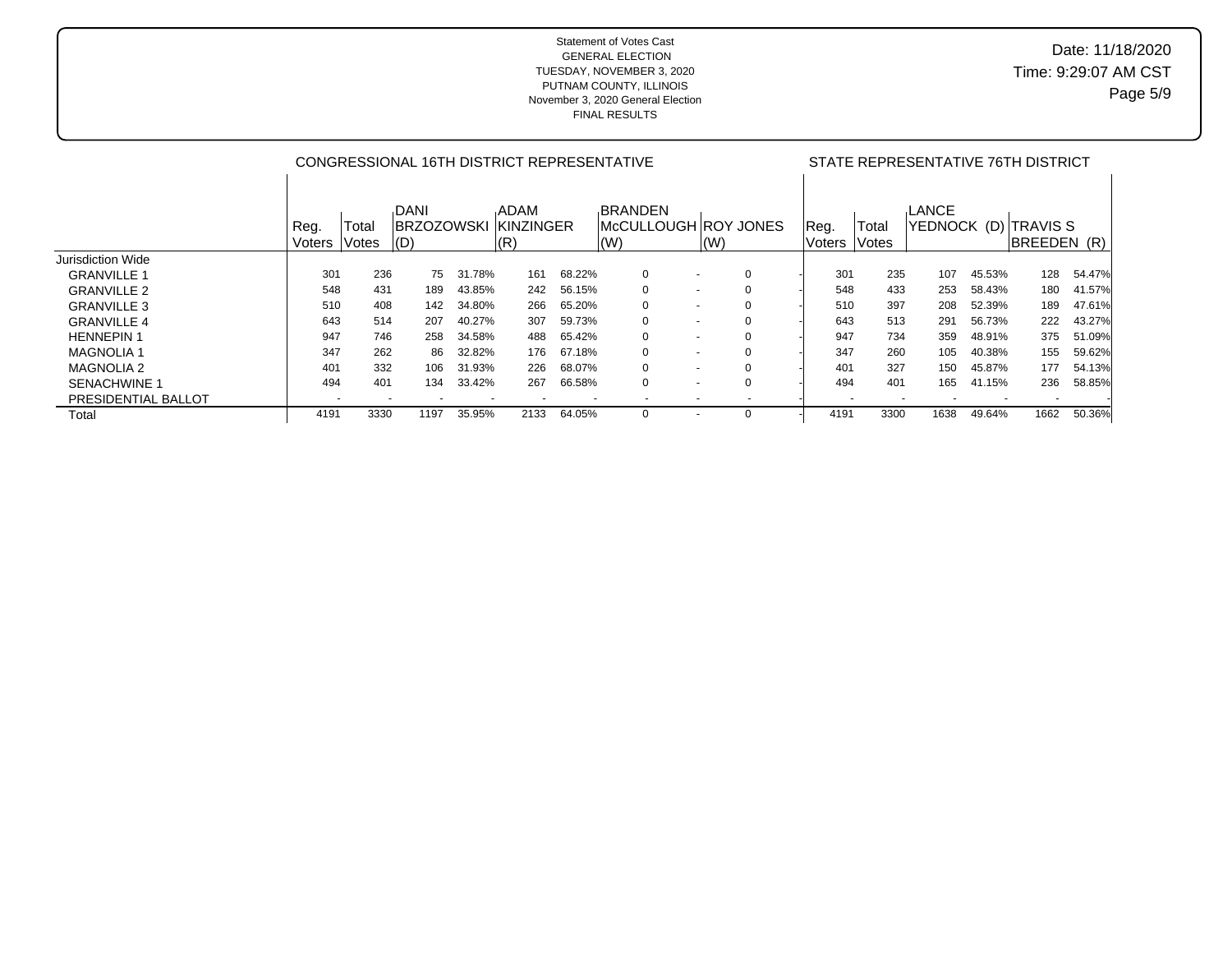# Date: 11/18/2020 Time: 9:29:07 AM CST Page 5/9

|                     |                          |                |                                          |        | CONGRESSIONAL 16TH DISTRICT REPRESENTATIVE | STATE REPRESENTATIVE 76TH DISTRICT |                                                                    |                          |  |                 |                |                      |        |                             |        |
|---------------------|--------------------------|----------------|------------------------------------------|--------|--------------------------------------------|------------------------------------|--------------------------------------------------------------------|--------------------------|--|-----------------|----------------|----------------------|--------|-----------------------------|--------|
|                     | Reg.<br>Voters           | Total<br>Votes | <b>DANI</b><br><b>IBRZOZOWSKI</b><br>(D) |        | <b>ADAM</b><br><b>KINZINGER</b><br>(R)     |                                    | <b>BRANDEN</b><br>McCULLOUGH ROY JONES<br>$\mathsf{I}(\mathsf{W})$ | (W)                      |  | Reg.<br>lVoters | Total<br>Votes | LANCE<br>YEDNOCK (D) |        | ITRAVIS S<br><b>BREEDEN</b> | (R)    |
| Jurisdiction Wide   |                          |                |                                          |        |                                            |                                    |                                                                    |                          |  |                 |                |                      |        |                             |        |
| <b>GRANVILLE 1</b>  | 301                      | 236            | 75                                       | 31.78% | 161                                        | 68.22%                             | $\mathbf 0$                                                        | $\overline{\phantom{0}}$ |  | 301             | 235            | 107                  | 45.53% | 128                         | 54.47% |
| <b>GRANVILLE 2</b>  | 548                      | 431            | 189                                      | 43.85% | 242                                        | 56.15%                             | $\mathbf 0$                                                        | $\overline{\phantom{0}}$ |  | 548             | 433            | 253                  | 58.43% | 180                         | 41.57% |
| <b>GRANVILLE 3</b>  | 510                      | 408            | 142                                      | 34.80% | 266                                        | 65.20%                             | $\Omega$                                                           | $\overline{\phantom{a}}$ |  | 510             | 397            | 208                  | 52.39% | 189                         | 47.61% |
| <b>GRANVILLE 4</b>  | 643                      | 514            | 207                                      | 40.27% | 307                                        | 59.73%                             | 0                                                                  | $\overline{\phantom{0}}$ |  | 643             | 513            | 291                  | 56.73% | 222                         | 43.27% |
| <b>HENNEPIN 1</b>   | 947                      | 746            | 258                                      | 34.58% | 488                                        | 65.42%                             | $\Omega$                                                           | $\overline{\phantom{a}}$ |  | 947             | 734            | 359                  | 48.91% | 375                         | 51.09% |
| <b>MAGNOLIA1</b>    | 347                      | 262            | 86.                                      | 32.82% | 176                                        | 67.18%                             | $\Omega$                                                           | $\overline{\phantom{0}}$ |  | 347             | 260            | 105                  | 40.38% | 155                         | 59.62% |
| <b>MAGNOLIA 2</b>   | 401                      | 332            | 106                                      | 31.93% | 226                                        | 68.07%                             | $\Omega$                                                           | $\overline{\phantom{a}}$ |  | 401             | 327            | 150                  | 45.87% | 177                         | 54.13% |
| <b>SENACHWINE 1</b> | 494                      | 401            | 134                                      | 33.42% | 267                                        | 66.58%                             | $\Omega$                                                           | $\overline{\phantom{0}}$ |  | 494             | 401            | 165                  | 41.15% | 236                         | 58.85% |
| PRESIDENTIAL BALLOT | $\overline{\phantom{a}}$ |                |                                          |        |                                            |                                    |                                                                    | $\overline{\phantom{0}}$ |  |                 |                |                      |        |                             |        |
| Total               | 4191                     | 3330           | 1197                                     | 35.95% | 2133                                       | 64.05%                             | $\Omega$                                                           | $\overline{\phantom{a}}$ |  | 4191            | 3300           | 1638                 | 49.64% | 1662                        | 50.36% |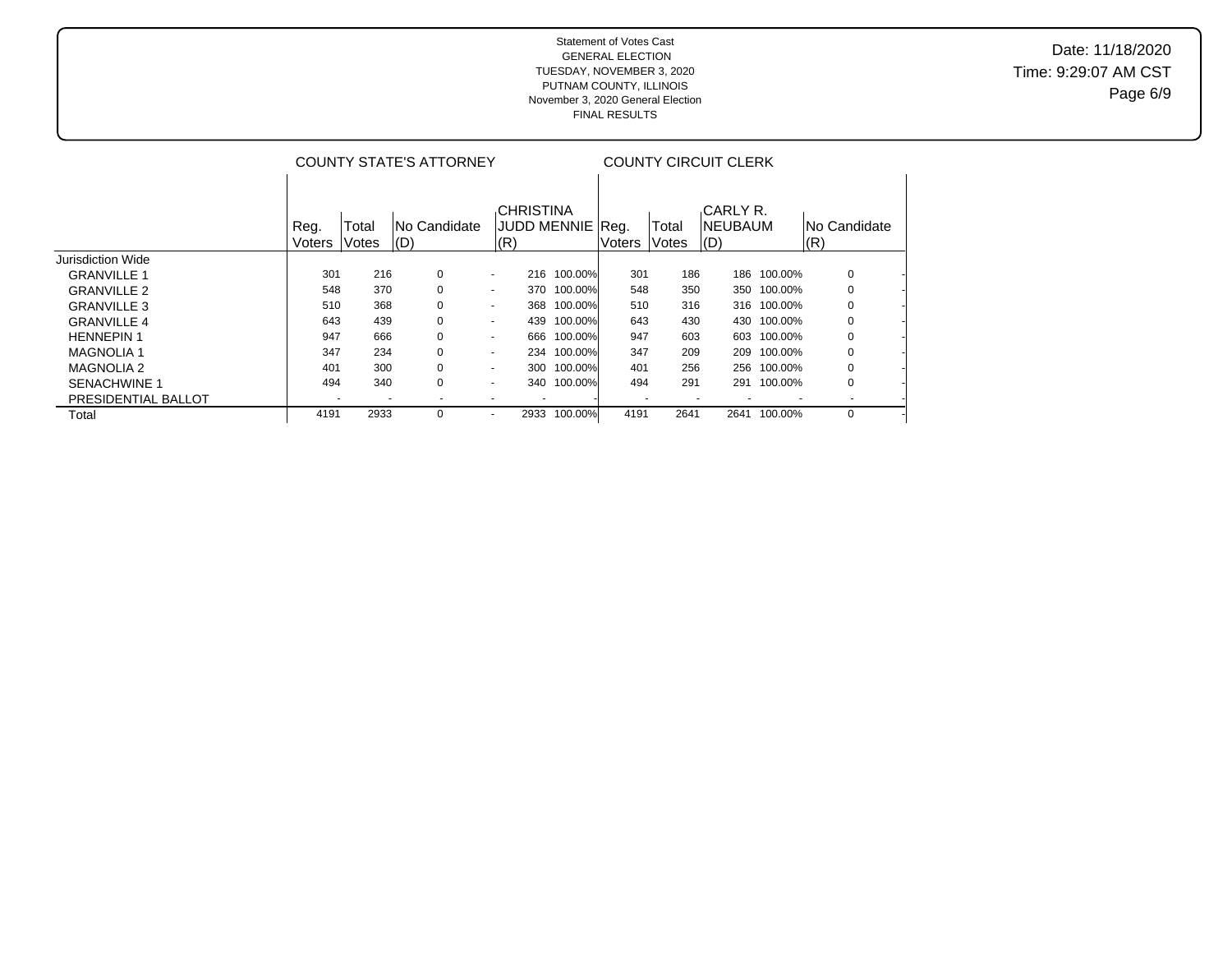# Date: 11/18/2020 Time: 9:29:07 AM CST Page 6/9

|                     |                |                | <b>COUNTY STATE'S ATTORNEY</b> |                                              | <b>COUNTY CIRCUIT CLERK</b> |        |                |                                    |             |                      |  |
|---------------------|----------------|----------------|--------------------------------|----------------------------------------------|-----------------------------|--------|----------------|------------------------------------|-------------|----------------------|--|
|                     | Reg.<br>Voters | Total<br>Votes | INo Candidate<br>$ $ (D)       | <b>CHRISTINA</b><br>JUDD MENNIE  Rea.<br>(R) |                             | Voters | Total<br>Votes | <b>CARLY R.</b><br>INEUBAUM<br>(D) |             | INo Candidate<br>(R) |  |
| Jurisdiction Wide   |                |                |                                |                                              |                             |        |                |                                    |             |                      |  |
| <b>GRANVILLE 1</b>  | 301            | 216            | 0                              | 216<br>$\blacksquare$                        | 100.00%                     | 301    | 186            | 186                                | 100.00%     | 0                    |  |
| <b>GRANVILLE 2</b>  | 548            | 370            | 0                              | 370<br>$\blacksquare$                        | 100.00%                     | 548    | 350            | 350                                | 100.00%     | 0                    |  |
| <b>GRANVILLE 3</b>  | 510            | 368            | 0                              | 368<br>$\blacksquare$                        | 100.00%                     | 510    | 316            |                                    | 316 100.00% | 0                    |  |
| <b>GRANVILLE 4</b>  | 643            | 439            | 0                              | 439<br>$\blacksquare$                        | 100.00%                     | 643    | 430            | 430                                | 100.00%     | 0                    |  |
| <b>HENNEPIN 1</b>   | 947            | 666            | 0                              | 666<br>$\overline{\phantom{a}}$              | 100.00%                     | 947    | 603            | 603                                | 100.00%     | 0                    |  |
| <b>MAGNOLIA 1</b>   | 347            | 234            | 0                              | 234<br>$\blacksquare$                        | 100.00%                     | 347    | 209            | 209                                | 100.00%     | 0                    |  |
| <b>MAGNOLIA 2</b>   | 401            | 300            | 0                              | 300<br>$\blacksquare$                        | 100.00%                     | 401    | 256            | 256                                | 100.00%     | 0                    |  |
| <b>SENACHWINE 1</b> | 494            | 340            | 0                              | 340<br>$\overline{\phantom{a}}$              | 100.00%                     | 494    | 291            | 291                                | 100.00%     | 0                    |  |
| PRESIDENTIAL BALLOT |                |                |                                |                                              |                             |        | ۰              |                                    |             |                      |  |
| Total               | 4191           | 2933           | 0                              | 2933<br>$\overline{\phantom{a}}$             | 100.00%                     | 4191   | 2641           | 2641                               | 100.00%     | 0                    |  |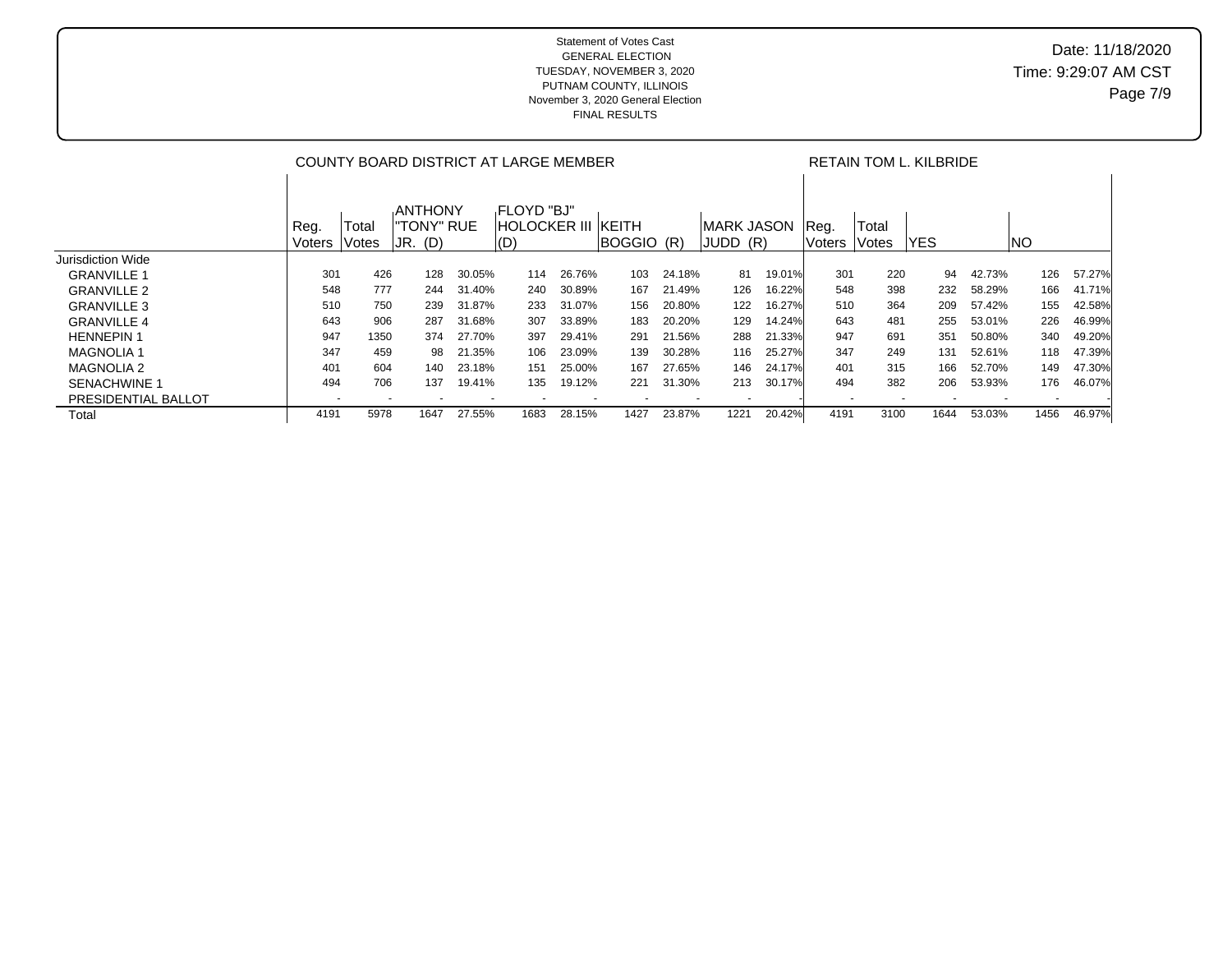|                     | COUNTY BOARD DISTRICT AT LARGE MEMBER |                       |                                           |        |                                                |        |            |        |                          |        |                | RETAIN TOM L. KILBRIDE |            |        |      |        |  |
|---------------------|---------------------------------------|-----------------------|-------------------------------------------|--------|------------------------------------------------|--------|------------|--------|--------------------------|--------|----------------|------------------------|------------|--------|------|--------|--|
|                     | Reg.<br>Voters                        | Total<br><b>Votes</b> | <b>ANTHONY</b><br>"TONY" RUE<br>$JR.$ (D) |        | FLOYD "BJ"<br><b>HOLOCKER III KEITH</b><br>(D) |        | BOGGIO (R) |        | IMARK JASON<br>IJUDD (R) |        | Req.<br>Voters | Total<br><b>Votes</b>  | <b>YES</b> |        | INO  |        |  |
| Jurisdiction Wide   |                                       |                       |                                           |        |                                                |        |            |        |                          |        |                |                        |            |        |      |        |  |
| <b>GRANVILLE 1</b>  | 301                                   | 426                   | 128                                       | 30.05% | 114                                            | 26.76% | 103        | 24.18% | 81                       | 19.01% | 301            | 220                    | 94         | 42.73% | 126  | 57.27% |  |
| <b>GRANVILLE 2</b>  | 548                                   | 777                   | 244                                       | 31.40% | 240                                            | 30.89% | 167        | 21.49% | 126                      | 16.22% | 548            | 398                    | 232        | 58.29% | 166  | 41.71% |  |
| <b>GRANVILLE 3</b>  | 510                                   | 750                   | 239                                       | 31.87% | 233                                            | 31.07% | 156        | 20.80% | 122                      | 16.27% | 510            | 364                    | 209        | 57.42% | 155  | 42.58% |  |
| <b>GRANVILLE 4</b>  | 643                                   | 906                   | 287                                       | 31.68% | 307                                            | 33.89% | 183        | 20.20% | 129                      | 14.24% | 643            | 481                    | 255        | 53.01% | 226  | 46.99% |  |
| <b>HENNEPIN1</b>    | 947                                   | 1350                  | 374                                       | 27.70% | 397                                            | 29.41% | 291        | 21.56% | 288                      | 21.33% | 947            | 691                    | 351        | 50.80% | 340  | 49.20% |  |
| <b>MAGNOLIA 1</b>   | 347                                   | 459                   | 98                                        | 21.35% | 106                                            | 23.09% | 139        | 30.28% | 116                      | 25.27% | 347            | 249                    | 131        | 52.61% | 118  | 47.39% |  |
| <b>MAGNOLIA 2</b>   | 401                                   | 604                   | 140                                       | 23.18% | 151                                            | 25.00% | 167        | 27.65% | 146                      | 24.17% | 401            | 315                    | 166        | 52.70% | 149  | 47.30% |  |
| <b>SENACHWINE 1</b> | 494                                   | 706                   | 137                                       | 19.41% | 135                                            | 19.12% | 221        | 31.30% | 213                      | 30.17% | 494            | 382                    | 206        | 53.93% | 176  | 46.07% |  |
| PRESIDENTIAL BALLOT |                                       |                       |                                           |        |                                                |        |            |        |                          |        |                |                        |            |        |      |        |  |
| Total               | 4191                                  | 5978                  | 1647                                      | 27.55% | 1683                                           | 28.15% | 1427       | 23.87% | 1221                     | 20.42% | 4191           | 3100                   | 1644       | 53.03% | 1456 | 46.97% |  |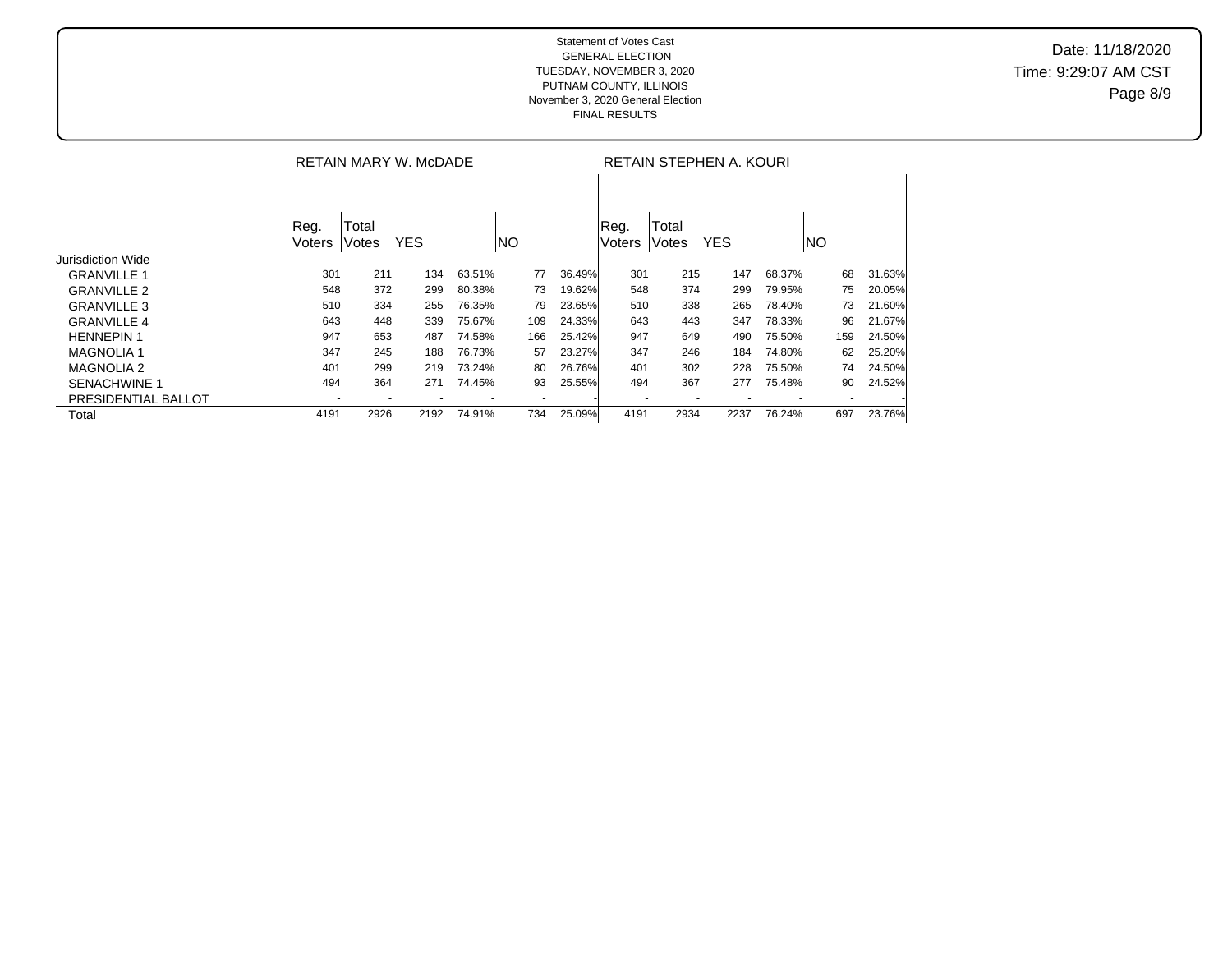|                     |                |                | RETAIN MARY W. McDADE |        |     |        | RETAIN STEPHEN A. KOURI |                          |            |        |     |        |  |  |
|---------------------|----------------|----------------|-----------------------|--------|-----|--------|-------------------------|--------------------------|------------|--------|-----|--------|--|--|
|                     |                |                |                       |        |     |        |                         |                          |            |        |     |        |  |  |
|                     | Reg.<br>Voters | Total<br>Votes | <b>YES</b>            |        | INO |        | Reg.<br>Voters          | Total<br>Votes           | <b>YES</b> |        | INO |        |  |  |
| Jurisdiction Wide   |                |                |                       |        |     |        |                         |                          |            |        |     |        |  |  |
| <b>GRANVILLE 1</b>  | 301            | 211            | 134                   | 63.51% | 77  | 36.49% | 301                     | 215                      | 147        | 68.37% | 68  | 31.63% |  |  |
| <b>GRANVILLE 2</b>  | 548            | 372            | 299                   | 80.38% | 73  | 19.62% | 548                     | 374                      | 299        | 79.95% | 75  | 20.05% |  |  |
| <b>GRANVILLE 3</b>  | 510            | 334            | 255                   | 76.35% | 79  | 23.65% | 510                     | 338                      | 265        | 78.40% | 73  | 21.60% |  |  |
| <b>GRANVILLE 4</b>  | 643            | 448            | 339                   | 75.67% | 109 | 24.33% | 643                     | 443                      | 347        | 78.33% | 96  | 21.67% |  |  |
| <b>HENNEPIN1</b>    | 947            | 653            | 487                   | 74.58% | 166 | 25.42% | 947                     | 649                      | 490        | 75.50% | 159 | 24.50% |  |  |
| <b>MAGNOLIA1</b>    | 347            | 245            | 188                   | 76.73% | 57  | 23.27% | 347                     | 246                      | 184        | 74.80% | 62  | 25.20% |  |  |
| <b>MAGNOLIA 2</b>   | 401            | 299            | 219                   | 73.24% | 80  | 26.76% | 401                     | 302                      | 228        | 75.50% | 74  | 24.50% |  |  |
| <b>SENACHWINE 1</b> | 494            | 364            | 271                   | 74.45% | 93  | 25.55% | 494                     | 367                      | 277        | 75.48% | 90  | 24.52% |  |  |
| PRESIDENTIAL BALLOT |                |                |                       |        |     |        |                         | $\overline{\phantom{a}}$ |            |        |     |        |  |  |
| Total               | 4191           | 2926           | 2192                  | 74.91% | 734 | 25.09% | 4191                    | 2934                     | 2237       | 76.24% | 697 | 23.76% |  |  |